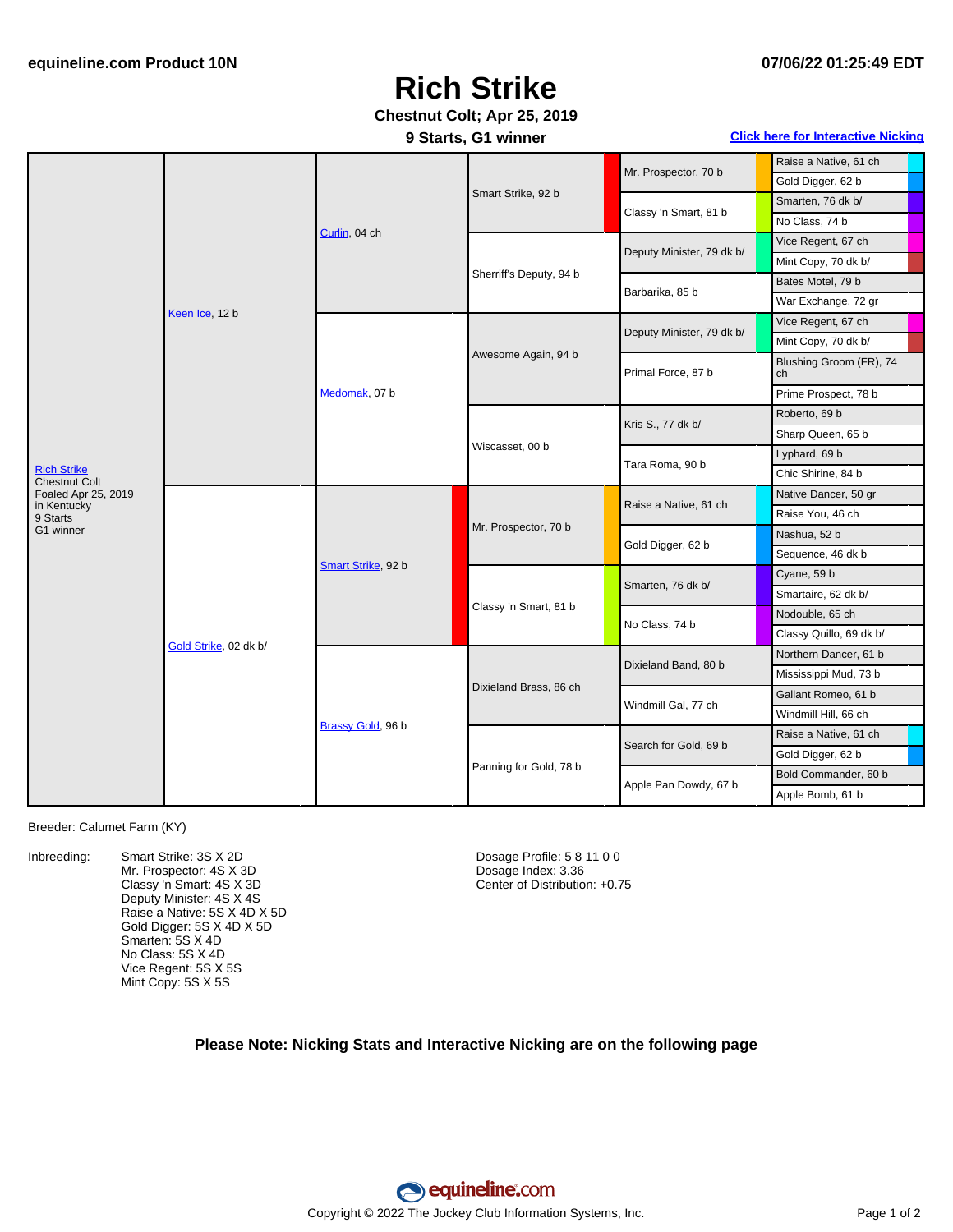## **Rich Strike**

### **Chestnut Colt; Apr 25, 2019**

#### **9 Starts, G1 winner Click here for [Interactive](#page-1-0) Nicking**

|                                            | Keen Ice, 12 b        | Curlin, 04 ch      | Smart Strike, 92 b      |                           | Raise a Native, 61 ch         |
|--------------------------------------------|-----------------------|--------------------|-------------------------|---------------------------|-------------------------------|
|                                            |                       |                    |                         | Mr. Prospector, 70 b      | Gold Digger, 62 b             |
|                                            |                       |                    |                         | Classy 'n Smart, 81 b     | Smarten, 76 dk b/             |
|                                            |                       |                    |                         |                           | No Class, 74 b                |
|                                            |                       |                    | Sherriff's Deputy, 94 b | Deputy Minister, 79 dk b/ | Vice Regent, 67 ch            |
|                                            |                       |                    |                         |                           | Mint Copy, 70 dk b/           |
|                                            |                       |                    |                         | Barbarika, 85 b           | Bates Motel, 79 b             |
|                                            |                       |                    |                         |                           | War Exchange, 72 gr           |
|                                            |                       | Medomak, 07 b      | Awesome Again, 94 b     | Deputy Minister, 79 dk b/ | Vice Regent, 67 ch            |
|                                            |                       |                    |                         |                           | Mint Copy, 70 dk b/           |
|                                            |                       |                    |                         | Primal Force, 87 b        | Blushing Groom (FR), 74<br>ch |
|                                            |                       |                    |                         |                           | Prime Prospect, 78 b          |
|                                            |                       |                    | Wiscasset, 00 b         | Kris S., 77 dk b/         | Roberto, 69 b                 |
|                                            |                       |                    |                         |                           | Sharp Queen, 65 b             |
|                                            |                       |                    |                         | Tara Roma, 90 b           | Lyphard, 69 b                 |
| <b>Rich Strike</b><br><b>Chestnut Colt</b> |                       |                    |                         |                           | Chic Shirine, 84 b            |
| Foaled Apr 25, 2019<br>in Kentucky         | Gold Strike, 02 dk b/ | Smart Strike, 92 b | Mr. Prospector, 70 b    | Raise a Native, 61 ch     | Native Dancer, 50 gr          |
| 9 Starts                                   |                       |                    |                         |                           | Raise You, 46 ch              |
| G1 winner                                  |                       |                    |                         | Gold Digger, 62 b         | Nashua, 52 b                  |
|                                            |                       |                    |                         |                           | Sequence, 46 dk b             |
|                                            |                       |                    | Classy 'n Smart, 81 b   | Smarten, 76 dk b/         | Cyane, 59 b                   |
|                                            |                       |                    |                         |                           | Smartaire, 62 dk b/           |
|                                            |                       |                    |                         | No Class, 74 b            | Nodouble, 65 ch               |
|                                            |                       |                    |                         |                           | Classy Quillo, 69 dk b/       |
|                                            |                       | Brassy Gold, 96 b  | Dixieland Brass, 86 ch  | Dixieland Band, 80 b      | Northern Dancer, 61 b         |
|                                            |                       |                    |                         |                           | Mississippi Mud, 73 b         |
|                                            |                       |                    |                         | Windmill Gal, 77 ch       | Gallant Romeo, 61 b           |
|                                            |                       |                    |                         |                           | Windmill Hill, 66 ch          |
|                                            |                       |                    | Panning for Gold, 78 b  | Search for Gold, 69 b     | Raise a Native, 61 ch         |
|                                            |                       |                    |                         |                           | Gold Digger, 62 b             |
|                                            |                       |                    |                         | Apple Pan Dowdy, 67 b     | Bold Commander, 60 b          |
|                                            |                       |                    |                         |                           | Apple Bomb, 61 b              |

#### Breeder: Calumet Farm (KY)

Inbreeding: Smart Strike: 3S X 2D Mr. Prospector: 4S X 3D Classy 'n Smart: 4S X 3D Deputy Minister: 4S X 4S Raise a Native: 5S X 4D X 5D Gold Digger: 5S X 4D X 5D Smarten: 5S X 4D No Class: 5S X 4D Vice Regent: 5S X 5S Mint Copy: 5S X 5S

Dosage Profile: 5 8 11 0 0 Dosage Index: 3.36 Center of Distribution: +0.75

#### **Please Note: Nicking Stats and Interactive Nicking are on the following page**